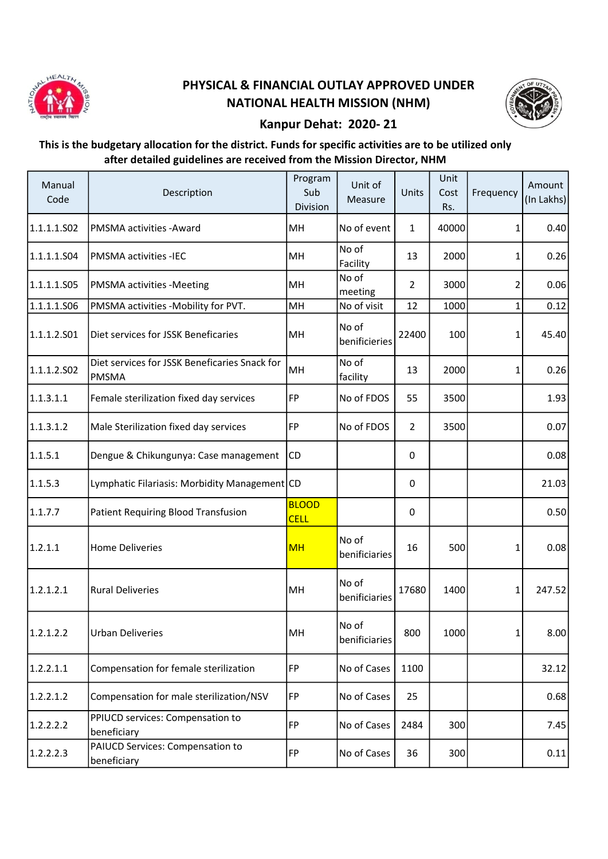

## PHYSICAL & FINANCIAL OUTLAY APPROVED UNDER NATIONAL HEALTH MISSION (NHM)



## Kanpur Dehat: 2020- 21

## This is the budgetary allocation for the district. Funds for specific activities are to be utilized only after detailed guidelines are received from the Mission Director, NHM

| Manual<br>Code | Description                                                   | Program<br>Sub<br>Division  | Unit of<br>Measure     | Units          | Unit<br>Cost<br>Rs. | Frequency    | Amount<br>(In Lakhs) |
|----------------|---------------------------------------------------------------|-----------------------------|------------------------|----------------|---------------------|--------------|----------------------|
| 1.1.1.1.S02    | PMSMA activities - Award                                      | MН                          | No of event            | $\mathbf{1}$   | 40000               | 1            | 0.40                 |
| 1.1.1.1.504    | <b>PMSMA activities -IEC</b>                                  | MH                          | No of<br>Facility      | 13             | 2000                | 1            | 0.26                 |
| 1.1.1.1.S05    | <b>PMSMA activities -Meeting</b>                              | MH                          | No of<br>meeting       | $\overline{2}$ | 3000                | 2            | 0.06                 |
| 1.1.1.1.506    | PMSMA activities -Mobility for PVT.                           | MH                          | No of visit            | 12             | 1000                | $\mathbf{1}$ | 0.12                 |
| 1.1.1.2.501    | Diet services for JSSK Beneficaries                           | MH                          | No of<br>benificieries | 22400          | 100                 | 1            | 45.40                |
| 1.1.1.2.502    | Diet services for JSSK Beneficaries Snack for<br><b>PMSMA</b> | MH                          | No of<br>facility      | 13             | 2000                | $\mathbf{1}$ | 0.26                 |
| 1.1.3.1.1      | Female sterilization fixed day services                       | <b>FP</b>                   | No of FDOS             | 55             | 3500                |              | 1.93                 |
| 1.1.3.1.2      | Male Sterilization fixed day services                         | FP                          | No of FDOS             | $\overline{2}$ | 3500                |              | 0.07                 |
| 1.1.5.1        | Dengue & Chikungunya: Case management                         | CD                          |                        | 0              |                     |              | 0.08                 |
| 1.1.5.3        | Lymphatic Filariasis: Morbidity Management CD                 |                             |                        | 0              |                     |              | 21.03                |
| 1.1.7.7        | Patient Requiring Blood Transfusion                           | <b>BLOOD</b><br><b>CELL</b> |                        | 0              |                     |              | 0.50                 |
| 1.2.1.1        | <b>Home Deliveries</b>                                        | <b>MH</b>                   | No of<br>benificiaries | 16             | 500                 | 1            | 0.08                 |
| 1.2.1.2.1      | <b>Rural Deliveries</b>                                       | MH                          | No of<br>benificiaries | 17680          | 1400                | $\mathbf{1}$ | 247.52               |
| 1.2.1.2.2      | <b>Urban Deliveries</b>                                       | MH                          | No of<br>benificiaries | 800            | 1000                | 1            | 8.00                 |
| 1.2.2.1.1      | Compensation for female sterilization                         | FP                          | No of Cases            | 1100           |                     |              | 32.12                |
| 1.2.2.1.2      | Compensation for male sterilization/NSV                       | FP                          | No of Cases            | 25             |                     |              | 0.68                 |
| 1.2.2.2.2      | PPIUCD services: Compensation to<br>beneficiary               | <b>FP</b>                   | No of Cases            | 2484           | 300                 |              | 7.45                 |
| 1.2.2.2.3      | PAIUCD Services: Compensation to<br>beneficiary               | <b>FP</b>                   | No of Cases            | 36             | 300                 |              | 0.11                 |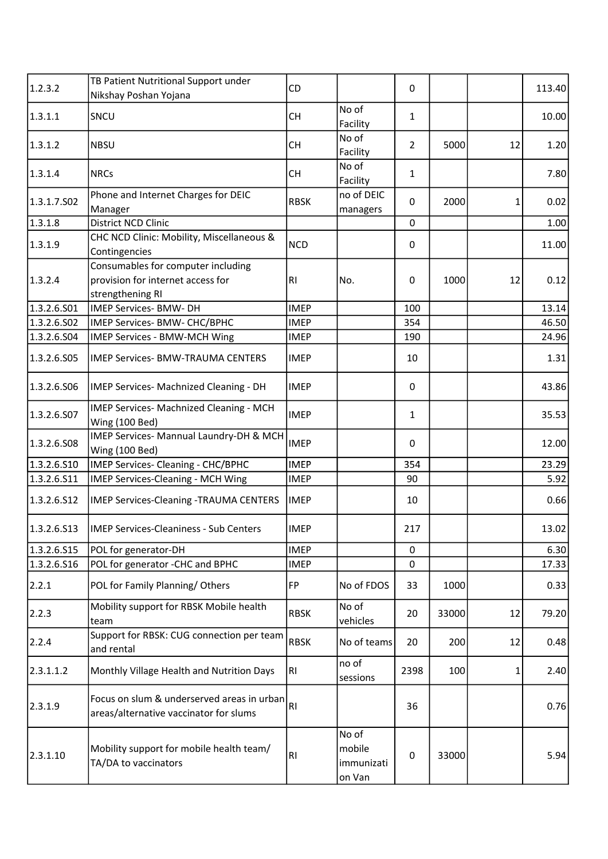| 1.2.3.2     | TB Patient Nutritional Support under                                                        | CD             |                                         | 0              |       |    | 113.40 |
|-------------|---------------------------------------------------------------------------------------------|----------------|-----------------------------------------|----------------|-------|----|--------|
|             | Nikshay Poshan Yojana                                                                       |                |                                         |                |       |    |        |
| 1.3.1.1     | SNCU                                                                                        | <b>CH</b>      | No of<br>Facility                       | $\mathbf{1}$   |       |    | 10.00  |
| 1.3.1.2     | <b>NBSU</b>                                                                                 | <b>CH</b>      | No of<br>Facility                       | $\overline{2}$ | 5000  | 12 | 1.20   |
| 1.3.1.4     | <b>NRCs</b>                                                                                 | <b>CH</b>      | No of<br>Facility                       | $\mathbf{1}$   |       |    | 7.80   |
| 1.3.1.7.502 | Phone and Internet Charges for DEIC<br>Manager                                              | <b>RBSK</b>    | no of DEIC<br>managers                  | $\mathbf{0}$   | 2000  | 1  | 0.02   |
| 1.3.1.8     | District NCD Clinic                                                                         |                |                                         | $\mathbf 0$    |       |    | 1.00   |
| 1.3.1.9     | CHC NCD Clinic: Mobility, Miscellaneous &<br>Contingencies                                  | <b>NCD</b>     |                                         | 0              |       |    | 11.00  |
| 1.3.2.4     | Consumables for computer including<br>provision for internet access for<br>strengthening RI | R <sub>l</sub> | No.                                     | 0              | 1000  | 12 | 0.12   |
| 1.3.2.6.501 | <b>IMEP Services- BMW- DH</b>                                                               | <b>IMEP</b>    |                                         | 100            |       |    | 13.14  |
| 1.3.2.6.S02 | IMEP Services- BMW- CHC/BPHC                                                                | <b>IMEP</b>    |                                         | 354            |       |    | 46.50  |
| 1.3.2.6.504 | IMEP Services - BMW-MCH Wing                                                                | <b>IMEP</b>    |                                         | 190            |       |    | 24.96  |
| 1.3.2.6.505 | <b>IMEP Services- BMW-TRAUMA CENTERS</b>                                                    | <b>IMEP</b>    |                                         | 10             |       |    | 1.31   |
| 1.3.2.6.506 | IMEP Services- Machnized Cleaning - DH                                                      | <b>IMEP</b>    |                                         | 0              |       |    | 43.86  |
| 1.3.2.6.S07 | IMEP Services- Machnized Cleaning - MCH<br>Wing (100 Bed)                                   | <b>IMEP</b>    |                                         | $\mathbf{1}$   |       |    | 35.53  |
| 1.3.2.6.508 | IMEP Services- Mannual Laundry-DH & MCH<br>Wing (100 Bed)                                   | <b>IMEP</b>    |                                         | 0              |       |    | 12.00  |
| 1.3.2.6.510 | IMEP Services- Cleaning - CHC/BPHC                                                          | <b>IMEP</b>    |                                         | 354            |       |    | 23.29  |
| 1.3.2.6.511 | IMEP Services-Cleaning - MCH Wing                                                           | <b>IMEP</b>    |                                         | 90             |       |    | 5.92   |
| 1.3.2.6.512 | <b>IMEP Services-Cleaning -TRAUMA CENTERS</b>                                               | <b>IMEP</b>    |                                         | 10             |       |    | 0.66   |
|             | 1.3.2.6.S13   IMEP Services-Cleaniness - Sub Centers                                        | <b>IMEP</b>    |                                         | 217            |       |    | 13.02  |
| 1.3.2.6.S15 | POL for generator-DH                                                                        | <b>IMEP</b>    |                                         | $\mathbf{0}$   |       |    | 6.30   |
| 1.3.2.6.516 | POL for generator -CHC and BPHC                                                             | <b>IMEP</b>    |                                         | 0              |       |    | 17.33  |
| 2.2.1       | POL for Family Planning/Others                                                              | FP             | No of FDOS                              | 33             | 1000  |    | 0.33   |
| 2.2.3       | Mobility support for RBSK Mobile health<br>team                                             | <b>RBSK</b>    | No of<br>vehicles                       | 20             | 33000 | 12 | 79.20  |
| 2.2.4       | Support for RBSK: CUG connection per team<br>and rental                                     | <b>RBSK</b>    | No of teams                             | 20             | 200   | 12 | 0.48   |
| 2.3.1.1.2   | Monthly Village Health and Nutrition Days                                                   | RI.            | no of<br>sessions                       | 2398           | 100   | 1  | 2.40   |
| 2.3.1.9     | Focus on slum & underserved areas in urban<br>areas/alternative vaccinator for slums        | RI             |                                         | 36             |       |    | 0.76   |
| 2.3.1.10    | Mobility support for mobile health team/<br>TA/DA to vaccinators                            | R <sub>l</sub> | No of<br>mobile<br>immunizati<br>on Van | 0              | 33000 |    | 5.94   |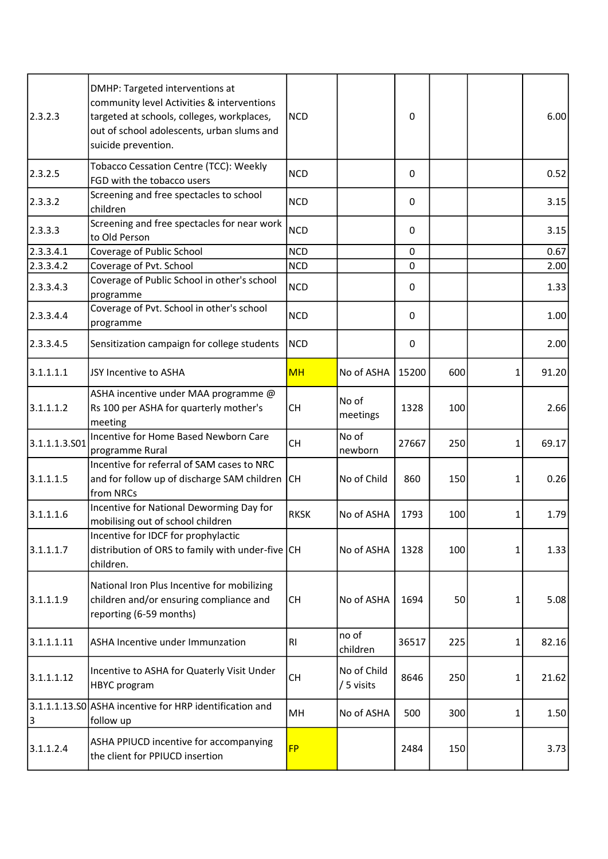| 2.3.2.3       | DMHP: Targeted interventions at<br>community level Activities & interventions<br>targeted at schools, colleges, workplaces,<br>out of school adolescents, urban slums and<br>suicide prevention. | <b>NCD</b>  |                           | 0            |     |   | 6.00  |
|---------------|--------------------------------------------------------------------------------------------------------------------------------------------------------------------------------------------------|-------------|---------------------------|--------------|-----|---|-------|
| 2.3.2.5       | Tobacco Cessation Centre (TCC): Weekly<br>FGD with the tobacco users                                                                                                                             | <b>NCD</b>  |                           | 0            |     |   | 0.52  |
| 2.3.3.2       | Screening and free spectacles to school<br>children                                                                                                                                              | <b>NCD</b>  |                           | 0            |     |   | 3.15  |
| 2.3.3.3       | Screening and free spectacles for near work<br>to Old Person                                                                                                                                     | <b>NCD</b>  |                           | $\mathbf{0}$ |     |   | 3.15  |
| 2.3.3.4.1     | Coverage of Public School                                                                                                                                                                        | <b>NCD</b>  |                           | $\mathbf 0$  |     |   | 0.67  |
| 2.3.3.4.2     | Coverage of Pvt. School                                                                                                                                                                          | <b>NCD</b>  |                           | $\mathbf 0$  |     |   | 2.00  |
| 2.3.3.4.3     | Coverage of Public School in other's school<br>programme                                                                                                                                         | <b>NCD</b>  |                           | 0            |     |   | 1.33  |
| 2.3.3.4.4     | Coverage of Pvt. School in other's school<br>programme                                                                                                                                           | <b>NCD</b>  |                           | 0            |     |   | 1.00  |
| 2.3.3.4.5     | Sensitization campaign for college students                                                                                                                                                      | <b>NCD</b>  |                           | 0            |     |   | 2.00  |
| 3.1.1.1.1     | JSY Incentive to ASHA                                                                                                                                                                            | <b>MH</b>   | No of ASHA                | 15200        | 600 | 1 | 91.20 |
| 3.1.1.1.2     | ASHA incentive under MAA programme @<br>Rs 100 per ASHA for quarterly mother's<br>meeting                                                                                                        | <b>CH</b>   | No of<br>meetings         | 1328         | 100 |   | 2.66  |
| 3.1.1.1.3.501 | Incentive for Home Based Newborn Care<br>programme Rural                                                                                                                                         | <b>CH</b>   | No of<br>newborn          | 27667        | 250 | 1 | 69.17 |
| 3.1.1.1.5     | Incentive for referral of SAM cases to NRC<br>and for follow up of discharge SAM children CH<br>from NRCs                                                                                        |             | No of Child               | 860          | 150 | 1 | 0.26  |
| 3.1.1.1.6     | Incentive for National Deworming Day for<br>mobilising out of school children                                                                                                                    | <b>RKSK</b> | No of ASHA                | 1793         | 100 | 1 | 1.79  |
| 3.1.1.1.7     | Incentive for IDCF for prophylactic<br>distribution of ORS to family with under-five CH<br>children.                                                                                             |             | No of ASHA                | 1328         | 100 | 1 | 1.33  |
| 3.1.1.1.9     | National Iron Plus Incentive for mobilizing<br>children and/or ensuring compliance and<br>reporting (6-59 months)                                                                                | CH          | No of ASHA                | 1694         | 50  | 1 | 5.08  |
| 3.1.1.1.11    | ASHA Incentive under Immunzation                                                                                                                                                                 | RI.         | no of<br>children         | 36517        | 225 | 1 | 82.16 |
| 3.1.1.1.12    | Incentive to ASHA for Quaterly Visit Under<br><b>HBYC</b> program                                                                                                                                | <b>CH</b>   | No of Child<br>/ 5 visits | 8646         | 250 | 1 | 21.62 |
| 3             | 3.1.1.1.13.S0 ASHA incentive for HRP identification and<br>follow up                                                                                                                             | MH          | No of ASHA                | 500          | 300 | 1 | 1.50  |
| 3.1.1.2.4     | ASHA PPIUCD incentive for accompanying<br>the client for PPIUCD insertion                                                                                                                        | <b>FP</b>   |                           | 2484         | 150 |   | 3.73  |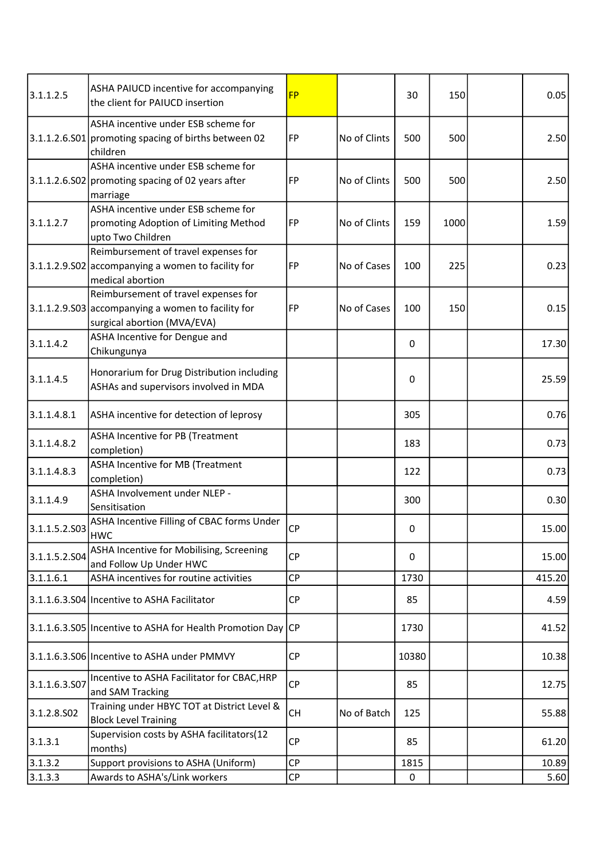| 3.1.1.2.5     | ASHA PAIUCD incentive for accompanying<br>the client for PAIUCD insertion                                                   | <b>FP</b> |              | 30       | 150  | 0.05   |
|---------------|-----------------------------------------------------------------------------------------------------------------------------|-----------|--------------|----------|------|--------|
|               | ASHA incentive under ESB scheme for<br>3.1.1.2.6.S01 promoting spacing of births between 02<br>children                     | FP        | No of Clints | 500      | 500  | 2.50   |
|               | ASHA incentive under ESB scheme for<br>$3.1.1.2.6.502$ promoting spacing of 02 years after<br>marriage                      | FP        | No of Clints | 500      | 500  | 2.50   |
| 3.1.1.2.7     | ASHA incentive under ESB scheme for<br>promoting Adoption of Limiting Method<br>upto Two Children                           | FP        | No of Clints | 159      | 1000 | 1.59   |
|               | Reimbursement of travel expenses for<br>3.1.1.2.9.502 accompanying a women to facility for<br>medical abortion              | FP        | No of Cases  | 100      | 225  | 0.23   |
|               | Reimbursement of travel expenses for<br>$3.1.1.2.9.503$ accompanying a women to facility for<br>surgical abortion (MVA/EVA) | FP        | No of Cases  | 100      | 150  | 0.15   |
| 3.1.1.4.2     | ASHA Incentive for Dengue and<br>Chikungunya                                                                                |           |              | 0        |      | 17.30  |
| 3.1.1.4.5     | Honorarium for Drug Distribution including<br>ASHAs and supervisors involved in MDA                                         |           |              | 0        |      | 25.59  |
| 3.1.1.4.8.1   | ASHA incentive for detection of leprosy                                                                                     |           |              | 305      |      | 0.76   |
| 3.1.1.4.8.2   | ASHA Incentive for PB (Treatment<br>completion)                                                                             |           |              | 183      |      | 0.73   |
| 3.1.1.4.8.3   | ASHA Incentive for MB (Treatment<br>completion)                                                                             |           |              | 122      |      | 0.73   |
| 3.1.1.4.9     | ASHA Involvement under NLEP -<br>Sensitisation                                                                              |           |              | 300      |      | 0.30   |
| 3.1.1.5.2.503 | ASHA Incentive Filling of CBAC forms Under<br><b>HWC</b>                                                                    | <b>CP</b> |              | 0        |      | 15.00  |
| 3.1.1.5.2.504 | ASHA Incentive for Mobilising, Screening<br>and Follow Up Under HWC                                                         | <b>CP</b> |              | $\Omega$ |      | 15.00  |
| 3.1.1.6.1     | ASHA incentives for routine activities                                                                                      | CP        |              | 1730     |      | 415.20 |
|               | 3.1.1.6.3.S04 Incentive to ASHA Facilitator                                                                                 | <b>CP</b> |              | 85       |      | 4.59   |
|               | 3.1.1.6.3.S05 Incentive to ASHA for Health Promotion Day CP                                                                 |           |              | 1730     |      | 41.52  |
|               | 3.1.1.6.3.S06 Incentive to ASHA under PMMVY                                                                                 | <b>CP</b> |              | 10380    |      | 10.38  |
| 3.1.1.6.3.S07 | Incentive to ASHA Facilitator for CBAC, HRP<br>and SAM Tracking                                                             | <b>CP</b> |              | 85       |      | 12.75  |
| 3.1.2.8.502   | Training under HBYC TOT at District Level &<br><b>Block Level Training</b>                                                  | <b>CH</b> | No of Batch  | 125      |      | 55.88  |
| 3.1.3.1       | Supervision costs by ASHA facilitators(12<br>months)                                                                        | <b>CP</b> |              | 85       |      | 61.20  |
| 3.1.3.2       | Support provisions to ASHA (Uniform)                                                                                        | <b>CP</b> |              | 1815     |      | 10.89  |
| 3.1.3.3       | Awards to ASHA's/Link workers                                                                                               | <b>CP</b> |              | 0        |      | 5.60   |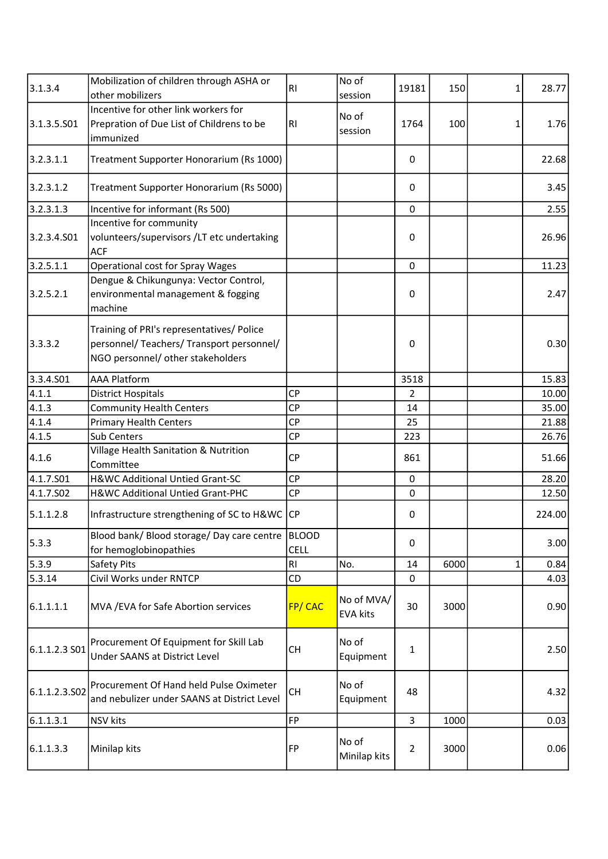| 3.1.3.4       | Mobilization of children through ASHA or<br>other mobilizers                                                                | <b>RI</b>      | No of<br>session              | 19181          | 150  | 1 | 28.77  |
|---------------|-----------------------------------------------------------------------------------------------------------------------------|----------------|-------------------------------|----------------|------|---|--------|
| 3.1.3.5.501   | Incentive for other link workers for<br>Prepration of Due List of Childrens to be<br>immunized                              | R <sub>l</sub> | No of<br>session              | 1764           | 100  | 1 | 1.76   |
| 3.2.3.1.1     | Treatment Supporter Honorarium (Rs 1000)                                                                                    |                |                               | 0              |      |   | 22.68  |
| 3.2.3.1.2     | Treatment Supporter Honorarium (Rs 5000)                                                                                    |                |                               | $\mathbf{0}$   |      |   | 3.45   |
| 3.2.3.1.3     | Incentive for informant (Rs 500)                                                                                            |                |                               | 0              |      |   | 2.55   |
| 3.2.3.4.S01   | Incentive for community<br>volunteers/supervisors /LT etc undertaking<br><b>ACF</b>                                         |                |                               | 0              |      |   | 26.96  |
| 3.2.5.1.1     | <b>Operational cost for Spray Wages</b>                                                                                     |                |                               | $\mathbf 0$    |      |   | 11.23  |
| 3.2.5.2.1     | Dengue & Chikungunya: Vector Control,<br>environmental management & fogging<br>machine                                      |                |                               | 0              |      |   | 2.47   |
| 3.3.3.2       | Training of PRI's representatives/ Police<br>personnel/ Teachers/ Transport personnel/<br>NGO personnel/ other stakeholders |                |                               | $\mathbf{0}$   |      |   | 0.30   |
| 3.3.4.501     | <b>AAA Platform</b>                                                                                                         |                |                               | 3518           |      |   | 15.83  |
| 4.1.1         | <b>District Hospitals</b>                                                                                                   | <b>CP</b>      |                               | $\overline{2}$ |      |   | 10.00  |
| 4.1.3         | <b>Community Health Centers</b>                                                                                             | <b>CP</b>      |                               | 14             |      |   | 35.00  |
| 4.1.4         | <b>Primary Health Centers</b>                                                                                               | <b>CP</b>      |                               | 25             |      |   | 21.88  |
| 4.1.5         | Sub Centers                                                                                                                 | <b>CP</b>      |                               | 223            |      |   | 26.76  |
| 4.1.6         | Village Health Sanitation & Nutrition<br>Committee                                                                          | <b>CP</b>      |                               | 861            |      |   | 51.66  |
| 4.1.7.S01     | H&WC Additional Untied Grant-SC                                                                                             | <b>CP</b>      |                               | $\pmb{0}$      |      |   | 28.20  |
| 4.1.7.502     | H&WC Additional Untied Grant-PHC                                                                                            | <b>CP</b>      |                               | $\mathbf 0$    |      |   | 12.50  |
| 5.1.1.2.8     | Infrastructure strengthening of SC to H&WC CP                                                                               |                |                               | 0              |      |   | 224.00 |
| 5.3.3         | Blood bank/ Blood storage/ Day care centre   BLOOD<br>for hemoglobinopathies                                                | <b>CELL</b>    |                               | 0              |      |   | 3.00   |
| 5.3.9         | Safety Pits                                                                                                                 | <b>RI</b>      | No.                           | 14             | 6000 | 1 | 0.84   |
| 5.3.14        | Civil Works under RNTCP                                                                                                     | CD             |                               | $\mathbf 0$    |      |   | 4.03   |
| 6.1.1.1.1     | MVA / EVA for Safe Abortion services                                                                                        | FP/CAC         | No of MVA/<br><b>EVA kits</b> | 30             | 3000 |   | 0.90   |
| 6.1.1.2.3 S01 | Procurement Of Equipment for Skill Lab<br>Under SAANS at District Level                                                     | <b>CH</b>      | No of<br>Equipment            | $\mathbf{1}$   |      |   | 2.50   |
| 6.1.1.2.3.502 | Procurement Of Hand held Pulse Oximeter<br>and nebulizer under SAANS at District Level                                      | <b>CH</b>      | No of<br>Equipment            | 48             |      |   | 4.32   |
| 6.1.1.3.1     | <b>NSV</b> kits                                                                                                             | <b>FP</b>      |                               | $\overline{3}$ | 1000 |   | 0.03   |
| 6.1.1.3.3     | Minilap kits                                                                                                                | FP             | No of<br>Minilap kits         | $\overline{2}$ | 3000 |   | 0.06   |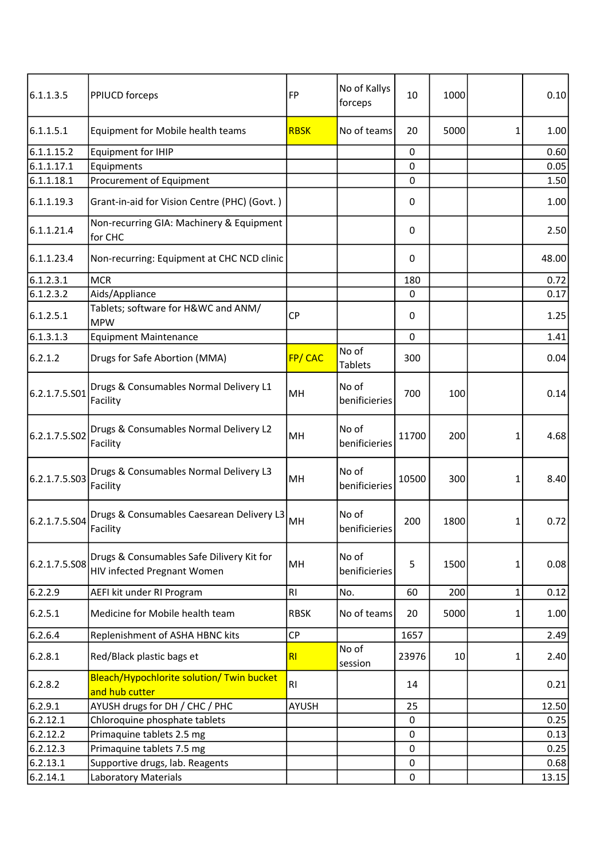| 6.1.1.3.5     | PPIUCD forceps                                                           | FP             | No of Kallys<br>forceps | 10           | 1000 |   | 0.10  |
|---------------|--------------------------------------------------------------------------|----------------|-------------------------|--------------|------|---|-------|
| 6.1.1.5.1     | Equipment for Mobile health teams                                        | <b>RBSK</b>    | No of teams             | 20           | 5000 | 1 | 1.00  |
| 6.1.1.15.2    | <b>Equipment for IHIP</b>                                                |                |                         | $\mathbf 0$  |      |   | 0.60  |
| 6.1.1.17.1    | Equipments                                                               |                |                         | $\Omega$     |      |   | 0.05  |
| 6.1.1.18.1    | Procurement of Equipment                                                 |                |                         | 0            |      |   | 1.50  |
| 6.1.1.19.3    | Grant-in-aid for Vision Centre (PHC) (Govt.)                             |                |                         | 0            |      |   | 1.00  |
| 6.1.1.21.4    | Non-recurring GIA: Machinery & Equipment<br>for CHC                      |                |                         | 0            |      |   | 2.50  |
| 6.1.1.23.4    | Non-recurring: Equipment at CHC NCD clinic                               |                |                         | 0            |      |   | 48.00 |
| 6.1.2.3.1     | <b>MCR</b>                                                               |                |                         | 180          |      |   | 0.72  |
| 6.1.2.3.2     | Aids/Appliance                                                           |                |                         | 0            |      |   | 0.17  |
| 6.1.2.5.1     | Tablets; software for H&WC and ANM/<br><b>MPW</b>                        | <b>CP</b>      |                         | 0            |      |   | 1.25  |
| 6.1.3.1.3     | <b>Equipment Maintenance</b>                                             |                |                         | $\mathbf{0}$ |      |   | 1.41  |
| 6.2.1.2       | Drugs for Safe Abortion (MMA)                                            | FP/CAC         | No of<br><b>Tablets</b> | 300          |      |   | 0.04  |
| 6.2.1.7.5.S01 | Drugs & Consumables Normal Delivery L1<br>Facility                       | MH             | No of<br>benificieries  | 700          | 100  |   | 0.14  |
| 6.2.1.7.5.S02 | Drugs & Consumables Normal Delivery L2<br>Facility                       | MН             | No of<br>benificieries  | 11700        | 200  | 1 | 4.68  |
| 6.2.1.7.5.S03 | Drugs & Consumables Normal Delivery L3<br>Facility                       | MH             | No of<br>benificieries  | 10500        | 300  | 1 | 8.40  |
| 6.2.1.7.5.504 | Drugs & Consumables Caesarean Delivery L3<br>Facility                    | MH             | No of<br>benificieries  | 200          | 1800 | 1 | 0.72  |
| 6.2.1.7.5.508 | Drugs & Consumables Safe Dilivery Kit for<br>HIV infected Pregnant Women | MH             | No of<br>benificieries  | 5            | 1500 | 1 | 0.08  |
| 6.2.2.9       | AEFI kit under RI Program                                                | R <sub>l</sub> | No.                     | 60           | 200  | 1 | 0.12  |
| 6.2.5.1       | Medicine for Mobile health team                                          | <b>RBSK</b>    | No of teams             | 20           | 5000 | 1 | 1.00  |
| 6.2.6.4       | Replenishment of ASHA HBNC kits                                          | <b>CP</b>      |                         | 1657         |      |   | 2.49  |
| 6.2.8.1       | Red/Black plastic bags et                                                | RI             | No of<br>session        | 23976        | 10   | 1 | 2.40  |
| 6.2.8.2       | Bleach/Hypochlorite solution/ Twin bucket<br>and hub cutter              | R <sub>l</sub> |                         | 14           |      |   | 0.21  |
| 6.2.9.1       | AYUSH drugs for DH / CHC / PHC                                           | <b>AYUSH</b>   |                         | 25           |      |   | 12.50 |
| 6.2.12.1      | Chloroquine phosphate tablets                                            |                |                         | $\pmb{0}$    |      |   | 0.25  |
| 6.2.12.2      | Primaquine tablets 2.5 mg                                                |                |                         | 0            |      |   | 0.13  |
| 6.2.12.3      | Primaquine tablets 7.5 mg                                                |                |                         | 0            |      |   | 0.25  |
| 6.2.13.1      | Supportive drugs, lab. Reagents                                          |                |                         | $\mathbf 0$  |      |   | 0.68  |
| 6.2.14.1      | Laboratory Materials                                                     |                |                         | 0            |      |   | 13.15 |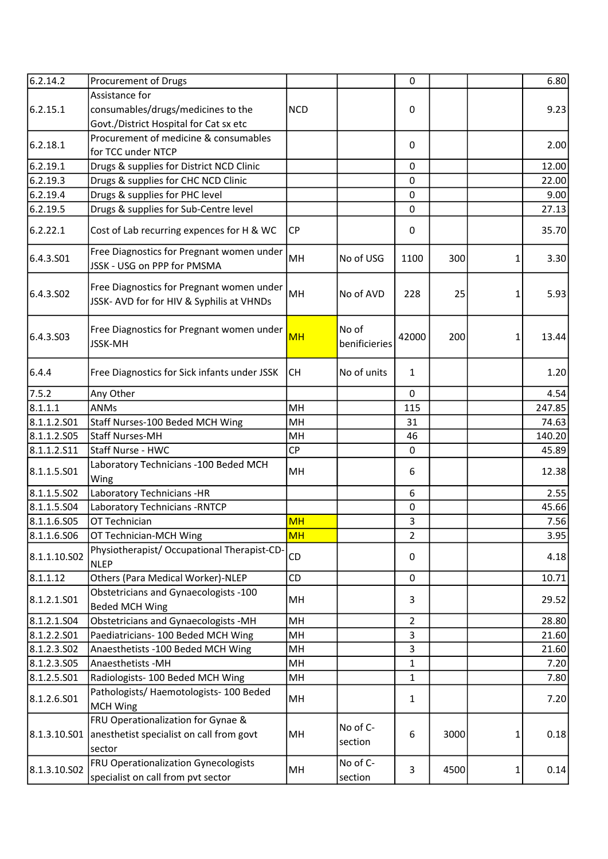| 6.2.14.2              | Procurement of Drugs                                                                   |            |                        | 0              |      |   | 6.80   |
|-----------------------|----------------------------------------------------------------------------------------|------------|------------------------|----------------|------|---|--------|
|                       | Assistance for                                                                         |            |                        |                |      |   |        |
| 6.2.15.1              | consumables/drugs/medicines to the                                                     | <b>NCD</b> |                        | 0              |      |   | 9.23   |
|                       | Govt./District Hospital for Cat sx etc                                                 |            |                        |                |      |   |        |
|                       | Procurement of medicine & consumables                                                  |            |                        |                |      |   |        |
| 6.2.18.1              | for TCC under NTCP                                                                     |            |                        | $\mathbf{0}$   |      |   | 2.00   |
| 6.2.19.1              | Drugs & supplies for District NCD Clinic                                               |            |                        | $\mathbf{0}$   |      |   | 12.00  |
| 6.2.19.3              | Drugs & supplies for CHC NCD Clinic                                                    |            |                        | $\mathbf 0$    |      |   | 22.00  |
| 6.2.19.4              | Drugs & supplies for PHC level                                                         |            |                        | $\pmb{0}$      |      |   | 9.00   |
| 6.2.19.5              | Drugs & supplies for Sub-Centre level                                                  |            |                        | $\pmb{0}$      |      |   | 27.13  |
| 6.2.22.1              | Cost of Lab recurring expences for H & WC                                              | <b>CP</b>  |                        | 0              |      |   | 35.70  |
| 6.4.3.501             | Free Diagnostics for Pregnant women under<br>JSSK - USG on PPP for PMSMA               | MH         | No of USG              | 1100           | 300  | 1 | 3.30   |
| 6.4.3.SO <sub>2</sub> | Free Diagnostics for Pregnant women under<br>JSSK- AVD for for HIV & Syphilis at VHNDs | MH         | No of AVD              | 228            | 25   | 1 | 5.93   |
| 6.4.3.503             | Free Diagnostics for Pregnant women under<br>JSSK-MH                                   | <b>MH</b>  | No of<br>benificieries | 42000          | 200  | 1 | 13.44  |
| 6.4.4                 | Free Diagnostics for Sick infants under JSSK                                           | <b>CH</b>  | No of units            | $\mathbf{1}$   |      |   | 1.20   |
| 7.5.2                 | Any Other                                                                              |            |                        | 0              |      |   | 4.54   |
| 8.1.1.1               | <b>ANMs</b>                                                                            | MH         |                        | 115            |      |   | 247.85 |
| 8.1.1.2.501           | Staff Nurses-100 Beded MCH Wing                                                        | MH         |                        | 31             |      |   | 74.63  |
| 8.1.1.2.505           | <b>Staff Nurses-MH</b>                                                                 | MH         |                        | 46             |      |   | 140.20 |
| 8.1.1.2.511           | Staff Nurse - HWC                                                                      | CP         |                        | $\mathbf 0$    |      |   | 45.89  |
| 8.1.1.5.501           | Laboratory Technicians -100 Beded MCH<br>Wing                                          | MH         |                        | 6              |      |   | 12.38  |
| 8.1.1.5.S02           | Laboratory Technicians -HR                                                             |            |                        | 6              |      |   | 2.55   |
| 8.1.1.5.504           | Laboratory Technicians - RNTCP                                                         |            |                        | $\pmb{0}$      |      |   | 45.66  |
| 8.1.1.6.S05           | OT Technician                                                                          | <b>MH</b>  |                        | 3              |      |   | 7.56   |
| 8.1.1.6.506           | OT Technician-MCH Wing                                                                 | MH         |                        | $\overline{2}$ |      |   | 3.95   |
| 8.1.1.10.S02          | Physiotherapist/ Occupational Therapist-CD-<br><b>NLEP</b>                             | <b>CD</b>  |                        | 0              |      |   | 4.18   |
| 8.1.1.12              | Others (Para Medical Worker)-NLEP                                                      | CD         |                        | $\mathbf 0$    |      |   | 10.71  |
| 8.1.2.1.501           | Obstetricians and Gynaecologists -100<br><b>Beded MCH Wing</b>                         | MH         |                        | 3              |      |   | 29.52  |
| 8.1.2.1.504           | <b>Obstetricians and Gynaecologists -MH</b>                                            | MH         |                        | $\overline{2}$ |      |   | 28.80  |
| 8.1.2.2.501           | Paediatricians- 100 Beded MCH Wing                                                     | MH         |                        | 3              |      |   | 21.60  |
| 8.1.2.3.502           | Anaesthetists -100 Beded MCH Wing                                                      | MH         |                        | 3              |      |   | 21.60  |
| 8.1.2.3.505           | Anaesthetists - MH                                                                     | MH         |                        | $\mathbf{1}$   |      |   | 7.20   |
| 8.1.2.5.501           | Radiologists-100 Beded MCH Wing                                                        | MH         |                        | $\mathbf{1}$   |      |   | 7.80   |
| 8.1.2.6.501           | Pathologists/ Haemotologists- 100 Beded<br><b>MCH Wing</b>                             | MH         |                        | 1              |      |   | 7.20   |
|                       | FRU Operationalization for Gynae &                                                     |            |                        |                |      |   |        |
| 8.1.3.10.501          | anesthetist specialist on call from govt<br>sector                                     | MH         | No of C-<br>section    | 6              | 3000 | 1 | 0.18   |
| 8.1.3.10.S02          | <b>FRU Operationalization Gynecologists</b><br>specialist on call from pvt sector      | MH         | No of C-<br>section    | 3              | 4500 | 1 | 0.14   |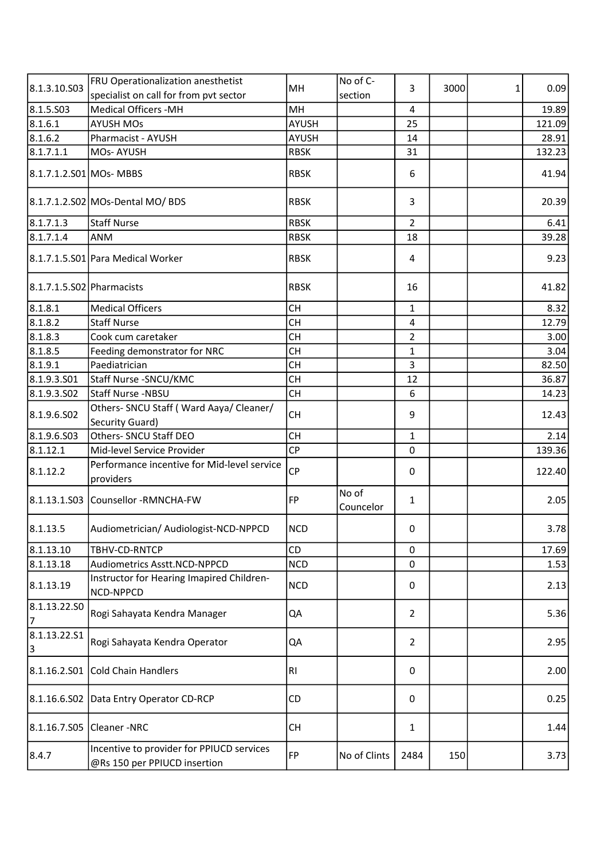| 8.1.3.10.S03              | FRU Operationalization anesthetist                                        | MH             | No of C-           | 3                       | 3000 |   | 0.09   |
|---------------------------|---------------------------------------------------------------------------|----------------|--------------------|-------------------------|------|---|--------|
|                           | specialist on call for from pvt sector                                    |                | section            |                         |      | 1 |        |
| 8.1.5.503                 | <b>Medical Officers -MH</b>                                               | MH             |                    | 4                       |      |   | 19.89  |
| 8.1.6.1                   | <b>AYUSH MOs</b>                                                          | <b>AYUSH</b>   |                    | 25                      |      |   | 121.09 |
| 8.1.6.2                   | Pharmacist - AYUSH                                                        | <b>AYUSH</b>   |                    | 14                      |      |   | 28.91  |
| 8.1.7.1.1                 | MOs-AYUSH                                                                 | <b>RBSK</b>    |                    | 31                      |      |   | 132.23 |
| 8.1.7.1.2.S01 MOs- MBBS   |                                                                           | <b>RBSK</b>    |                    | 6                       |      |   | 41.94  |
|                           | 8.1.7.1.2.S02 MOs-Dental MO/ BDS                                          | <b>RBSK</b>    |                    | 3                       |      |   | 20.39  |
| 8.1.7.1.3                 | Staff Nurse                                                               | <b>RBSK</b>    |                    | $\overline{2}$          |      |   | 6.41   |
| 8.1.7.1.4                 | <b>ANM</b>                                                                | <b>RBSK</b>    |                    | 18                      |      |   | 39.28  |
|                           | 8.1.7.1.5.S01 Para Medical Worker                                         | <b>RBSK</b>    |                    | 4                       |      |   | 9.23   |
| 8.1.7.1.5.S02 Pharmacists |                                                                           | <b>RBSK</b>    |                    | 16                      |      |   | 41.82  |
| 8.1.8.1                   | <b>Medical Officers</b>                                                   | <b>CH</b>      |                    | $\mathbf{1}$            |      |   | 8.32   |
| 8.1.8.2                   | <b>Staff Nurse</b>                                                        | <b>CH</b>      |                    | $\overline{\mathbf{4}}$ |      |   | 12.79  |
| 8.1.8.3                   | Cook cum caretaker                                                        | <b>CH</b>      |                    | $\overline{2}$          |      |   | 3.00   |
| 8.1.8.5                   | Feeding demonstrator for NRC                                              | <b>CH</b>      |                    | 1                       |      |   | 3.04   |
| 8.1.9.1                   | Paediatrician                                                             | <b>CH</b>      |                    | 3                       |      |   | 82.50  |
| 8.1.9.3.501               | Staff Nurse - SNCU/KMC                                                    | <b>CH</b>      |                    | 12                      |      |   | 36.87  |
| 8.1.9.3.502               | Staff Nurse -NBSU                                                         | <b>CH</b>      |                    | 6                       |      |   | 14.23  |
| 8.1.9.6.502               | Others- SNCU Staff (Ward Aaya/ Cleaner/<br>Security Guard)                | <b>CH</b>      |                    | 9                       |      |   | 12.43  |
| 8.1.9.6.503               | Others- SNCU Staff DEO                                                    | <b>CH</b>      |                    | 1                       |      |   | 2.14   |
| 8.1.12.1                  | Mid-level Service Provider                                                | CP             |                    | $\mathbf 0$             |      |   | 139.36 |
| 8.1.12.2                  | Performance incentive for Mid-level service<br>providers                  | <b>CP</b>      |                    | $\mathbf{0}$            |      |   | 122.40 |
|                           | 8.1.13.1.S03 Counsellor -RMNCHA-FW                                        | FP             | No of<br>Councelor | $\mathbf{1}$            |      |   | 2.05   |
| 8.1.13.5                  | Audiometrician/ Audiologist-NCD-NPPCD                                     | NCD            |                    | 0                       |      |   | 3.78   |
| 8.1.13.10                 | TBHV-CD-RNTCP                                                             | CD             |                    | $\Omega$                |      |   | 17.69  |
| 8.1.13.18                 | Audiometrics Asstt.NCD-NPPCD                                              | <b>NCD</b>     |                    | 0                       |      |   | 1.53   |
| 8.1.13.19                 | Instructor for Hearing Imapired Children-<br>NCD-NPPCD                    | <b>NCD</b>     |                    | 0                       |      |   | 2.13   |
| 8.1.13.22.SO<br>17        | Rogi Sahayata Kendra Manager                                              | QA             |                    | $\overline{2}$          |      |   | 5.36   |
| 8.1.13.22.51<br>3         | Rogi Sahayata Kendra Operator                                             | QA             |                    | $\overline{2}$          |      |   | 2.95   |
| 8.1.16.2.501              | Cold Chain Handlers                                                       | R <sub>l</sub> |                    | 0                       |      |   | 2.00   |
|                           | 8.1.16.6.S02 Data Entry Operator CD-RCP                                   | CD             |                    | 0                       |      |   | 0.25   |
|                           | 8.1.16.7.S05 Cleaner -NRC                                                 | <b>CH</b>      |                    | $\mathbf{1}$            |      |   | 1.44   |
| 8.4.7                     | Incentive to provider for PPIUCD services<br>@Rs 150 per PPIUCD insertion | FP             | No of Clints       | 2484                    | 150  |   | 3.73   |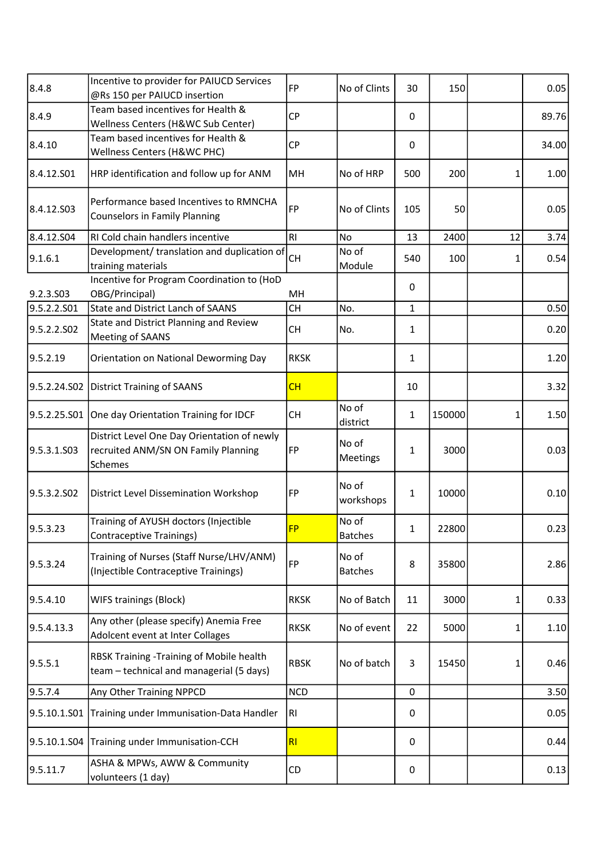| 8.4.8                   | Incentive to provider for PAIUCD Services<br>@Rs 150 per PAIUCD insertion                     | FP             | No of Clints            | 30           | 150    |    | 0.05  |
|-------------------------|-----------------------------------------------------------------------------------------------|----------------|-------------------------|--------------|--------|----|-------|
| 8.4.9                   | Team based incentives for Health &<br>Wellness Centers (H&WC Sub Center)                      | <b>CP</b>      |                         | 0            |        |    | 89.76 |
| 8.4.10                  | Team based incentives for Health &<br>Wellness Centers (H&WC PHC)                             | <b>CP</b>      |                         | 0            |        |    | 34.00 |
| 8.4.12.S01              | HRP identification and follow up for ANM                                                      | MH             | No of HRP               | 500          | 200    | 1  | 1.00  |
| 8.4.12.503              | Performance based Incentives to RMNCHA<br><b>Counselors in Family Planning</b>                | FP             | No of Clints            | 105          | 50     |    | 0.05  |
| 8.4.12.S04              | RI Cold chain handlers incentive                                                              | RI.            | N <sub>o</sub>          | 13           | 2400   | 12 | 3.74  |
| 9.1.6.1                 | Development/ translation and duplication of<br>training materials                             | <b>CH</b>      | No of<br>Module         | 540          | 100    | 1  | 0.54  |
| 9.2.3.S03               | Incentive for Program Coordination to (HoD<br>OBG/Principal)                                  | MH             |                         | 0            |        |    |       |
| 9.5.2.2.S01             | <b>State and District Lanch of SAANS</b>                                                      | <b>CH</b>      | No.                     | $\mathbf{1}$ |        |    | 0.50  |
| 9.5.2.2.SO2             | State and District Planning and Review<br>Meeting of SAANS                                    | <b>CH</b>      | No.                     | $\mathbf{1}$ |        |    | 0.20  |
| 9.5.2.19                | Orientation on National Deworming Day                                                         | <b>RKSK</b>    |                         | $\mathbf{1}$ |        |    | 1.20  |
| 9.5.2.24.S02            | District Training of SAANS                                                                    | CH             |                         | 10           |        |    | 3.32  |
| 9.5.2.25.S01            | One day Orientation Training for IDCF                                                         | <b>CH</b>      | No of<br>district       | $\mathbf{1}$ | 150000 | 1  | 1.50  |
| 9.5.3.1.S03             | District Level One Day Orientation of newly<br>recruited ANM/SN ON Family Planning<br>Schemes | FP             | No of<br>Meetings       | 1            | 3000   |    | 0.03  |
| 9.5.3.2.SO <sub>2</sub> | <b>District Level Dissemination Workshop</b>                                                  | FP             | No of<br>workshops      | $\mathbf{1}$ | 10000  |    | 0.10  |
| 9.5.3.23                | Training of AYUSH doctors (Injectible<br><b>Contraceptive Trainings)</b>                      | <b>FP</b>      | No of<br><b>Batches</b> | 1            | 22800  |    | 0.23  |
| 9.5.3.24                | Training of Nurses (Staff Nurse/LHV/ANM)<br>(Injectible Contraceptive Trainings)              | FP             | No of<br><b>Batches</b> | 8            | 35800  |    | 2.86  |
| 9.5.4.10                | <b>WIFS trainings (Block)</b>                                                                 | <b>RKSK</b>    | No of Batch             | 11           | 3000   | 1  | 0.33  |
| 9.5.4.13.3              | Any other (please specify) Anemia Free<br>Adolcent event at Inter Collages                    | <b>RKSK</b>    | No of event             | 22           | 5000   | 1  | 1.10  |
| 9.5.5.1                 | RBSK Training -Training of Mobile health<br>team - technical and managerial (5 days)          | <b>RBSK</b>    | No of batch             | 3            | 15450  | 1  | 0.46  |
| 9.5.7.4                 | Any Other Training NPPCD                                                                      | <b>NCD</b>     |                         | 0            |        |    | 3.50  |
| 9.5.10.1.S01            | Training under Immunisation-Data Handler                                                      | RI.            |                         | 0            |        |    | 0.05  |
| 9.5.10.1.504            | Training under Immunisation-CCH                                                               | R <sub>l</sub> |                         | 0            |        |    | 0.44  |
| 9.5.11.7                | ASHA & MPWs, AWW & Community<br>volunteers (1 day)                                            | CD             |                         | 0            |        |    | 0.13  |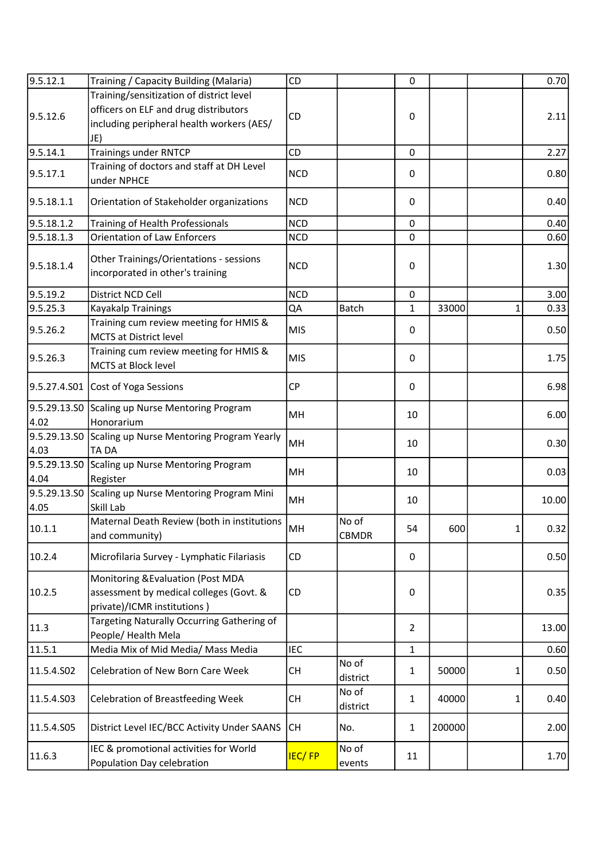| 9.5.12.1     | Training / Capacity Building (Malaria)                                      | <b>CD</b>     |                   | 0              |        |   | 0.70  |
|--------------|-----------------------------------------------------------------------------|---------------|-------------------|----------------|--------|---|-------|
|              | Training/sensitization of district level                                    |               |                   |                |        |   |       |
| 9.5.12.6     | officers on ELF and drug distributors                                       | <b>CD</b>     |                   | 0              |        |   | 2.11  |
|              | including peripheral health workers (AES/                                   |               |                   |                |        |   |       |
|              | JE)                                                                         |               |                   |                |        |   |       |
| 9.5.14.1     | <b>Trainings under RNTCP</b>                                                | CD            |                   | 0              |        |   | 2.27  |
| 9.5.17.1     | Training of doctors and staff at DH Level                                   | <b>NCD</b>    |                   | 0              |        |   | 0.80  |
|              | under NPHCE                                                                 |               |                   |                |        |   |       |
| 9.5.18.1.1   | Orientation of Stakeholder organizations                                    | <b>NCD</b>    |                   | 0              |        |   | 0.40  |
| 9.5.18.1.2   | Training of Health Professionals                                            | <b>NCD</b>    |                   | 0              |        |   | 0.40  |
| 9.5.18.1.3   | <b>Orientation of Law Enforcers</b>                                         | <b>NCD</b>    |                   | 0              |        |   | 0.60  |
| 9.5.18.1.4   | Other Trainings/Orientations - sessions<br>incorporated in other's training | <b>NCD</b>    |                   | 0              |        |   | 1.30  |
| 9.5.19.2     | District NCD Cell                                                           | <b>NCD</b>    |                   | 0              |        |   | 3.00  |
| 9.5.25.3     | Kayakalp Trainings                                                          | QA            | <b>Batch</b>      | $\mathbf{1}$   | 33000  | 1 | 0.33  |
|              | Training cum review meeting for HMIS &                                      |               |                   |                |        |   |       |
| 9.5.26.2     | <b>MCTS at District level</b>                                               | <b>MIS</b>    |                   | 0              |        |   | 0.50  |
| 9.5.26.3     | Training cum review meeting for HMIS &                                      | <b>MIS</b>    |                   | 0              |        |   | 1.75  |
|              | MCTS at Block level                                                         |               |                   |                |        |   |       |
|              | 9.5.27.4.S01 Cost of Yoga Sessions                                          | <b>CP</b>     |                   | 0              |        |   | 6.98  |
|              | 9.5.29.13.SO Scaling up Nurse Mentoring Program                             | MH            |                   |                |        |   |       |
| 4.02         | Honorarium                                                                  |               |                   | 10             |        |   | 6.00  |
| 9.5.29.13.SO | Scaling up Nurse Mentoring Program Yearly                                   |               |                   |                |        |   |       |
| 4.03         | TA DA                                                                       | MH            |                   | 10             |        |   | 0.30  |
| 9.5.29.13.SO | Scaling up Nurse Mentoring Program                                          | MH            |                   | 10             |        |   | 0.03  |
| 4.04         | Register                                                                    |               |                   |                |        |   |       |
|              | 9.5.29.13.S0 Scaling up Nurse Mentoring Program Mini                        | MH            |                   | 10             |        |   | 10.00 |
| 4.05         | Skill Lab                                                                   |               |                   |                |        |   |       |
| 10.1.1       | Maternal Death Review (both in institutions                                 | MH            | No of             | 54             | 600    |   | 0.32  |
|              | and community)                                                              |               | <b>CBMDR</b>      |                |        | 1 |       |
| 10.2.4       | Microfilaria Survey - Lymphatic Filariasis                                  | <b>CD</b>     |                   | 0              |        |   | 0.50  |
|              |                                                                             |               |                   |                |        |   |       |
|              | Monitoring & Evaluation (Post MDA                                           |               |                   |                |        |   |       |
| 10.2.5       | assessment by medical colleges (Govt. &                                     | CD            |                   | 0              |        |   | 0.35  |
|              | private)/ICMR institutions)                                                 |               |                   |                |        |   |       |
| 11.3         | Targeting Naturally Occurring Gathering of                                  |               |                   | $\overline{2}$ |        |   | 13.00 |
|              | People/ Health Mela                                                         |               |                   |                |        |   |       |
| 11.5.1       | Media Mix of Mid Media/ Mass Media                                          | <b>IEC</b>    |                   | $\mathbf{1}$   |        |   | 0.60  |
| 11.5.4.502   | Celebration of New Born Care Week                                           | <b>CH</b>     | No of<br>district | $\mathbf{1}$   | 50000  | 1 | 0.50  |
| 11.5.4.503   | <b>Celebration of Breastfeeding Week</b>                                    | <b>CH</b>     | No of<br>district | $\mathbf{1}$   | 40000  | 1 | 0.40  |
| 11.5.4.S05   | District Level IEC/BCC Activity Under SAANS                                 | <b>CH</b>     | No.               | $\mathbf{1}$   | 200000 |   | 2.00  |
| 11.6.3       | IEC & promotional activities for World                                      | <b>IEC/FP</b> | No of             | 11             |        |   | 1.70  |
|              | Population Day celebration                                                  |               | events            |                |        |   |       |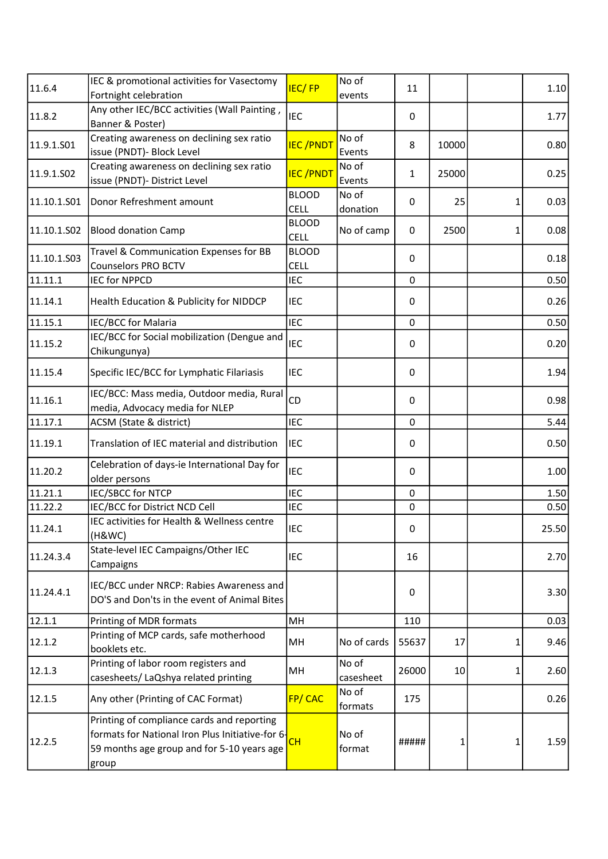| 11.6.4      | IEC & promotional activities for Vasectomy                                                                                                            | <b>IEC/FP</b>               | No of              | 11           |       |   | 1.10  |
|-------------|-------------------------------------------------------------------------------------------------------------------------------------------------------|-----------------------------|--------------------|--------------|-------|---|-------|
|             | Fortnight celebration                                                                                                                                 |                             | events             |              |       |   |       |
| 11.8.2      | Any other IEC/BCC activities (Wall Painting,<br>Banner & Poster)                                                                                      | <b>IEC</b>                  |                    | $\mathbf{0}$ |       |   | 1.77  |
| 11.9.1.S01  | Creating awareness on declining sex ratio<br>issue (PNDT)- Block Level                                                                                | <b>IEC/PNDT</b>             | No of<br>Events    | 8            | 10000 |   | 0.80  |
| 11.9.1.S02  | Creating awareness on declining sex ratio<br>issue (PNDT)- District Level                                                                             | <b>IEC/PNDT</b>             | No of<br>Events    | 1            | 25000 |   | 0.25  |
| 11.10.1.501 | Donor Refreshment amount                                                                                                                              | <b>BLOOD</b><br><b>CELL</b> | No of<br>donation  | $\Omega$     | 25    | 1 | 0.03  |
| 11.10.1.502 | <b>Blood donation Camp</b>                                                                                                                            | <b>BLOOD</b><br><b>CELL</b> | No of camp         | $\Omega$     | 2500  | 1 | 0.08  |
| 11.10.1.503 | Travel & Communication Expenses for BB<br><b>Counselors PRO BCTV</b>                                                                                  | <b>BLOOD</b><br><b>CELL</b> |                    | 0            |       |   | 0.18  |
| 11.11.1     | <b>IEC for NPPCD</b>                                                                                                                                  | <b>IEC</b>                  |                    | $\mathbf 0$  |       |   | 0.50  |
| 11.14.1     | Health Education & Publicity for NIDDCP                                                                                                               | <b>IEC</b>                  |                    | 0            |       |   | 0.26  |
| 11.15.1     | IEC/BCC for Malaria                                                                                                                                   | <b>IEC</b>                  |                    | $\mathbf 0$  |       |   | 0.50  |
| 11.15.2     | IEC/BCC for Social mobilization (Dengue and<br>Chikungunya)                                                                                           | <b>IEC</b>                  |                    | 0            |       |   | 0.20  |
| 11.15.4     | Specific IEC/BCC for Lymphatic Filariasis                                                                                                             | <b>IEC</b>                  |                    | 0            |       |   | 1.94  |
| 11.16.1     | IEC/BCC: Mass media, Outdoor media, Rural<br>media, Advocacy media for NLEP                                                                           | CD                          |                    | 0            |       |   | 0.98  |
| 11.17.1     | ACSM (State & district)                                                                                                                               | <b>IEC</b>                  |                    | 0            |       |   | 5.44  |
| 11.19.1     | Translation of IEC material and distribution                                                                                                          | <b>IEC</b>                  |                    | 0            |       |   | 0.50  |
| 11.20.2     | Celebration of days-ie International Day for<br>older persons                                                                                         | <b>IEC</b>                  |                    | $\mathbf{0}$ |       |   | 1.00  |
| 11.21.1     | <b>IEC/SBCC for NTCP</b>                                                                                                                              | <b>IEC</b>                  |                    | $\mathbf 0$  |       |   | 1.50  |
| 11.22.2     | IEC/BCC for District NCD Cell                                                                                                                         | <b>IEC</b>                  |                    | 0            |       |   | 0.50  |
| 11.24.1     | IEC activities for Health & Wellness centre<br>(H&WC)                                                                                                 | <b>IEC</b>                  |                    | $\Omega$     |       |   | 25.50 |
| 11.24.3.4   | State-level IEC Campaigns/Other IEC<br>Campaigns                                                                                                      | <b>IEC</b>                  |                    | 16           |       |   | 2.70  |
| 11.24.4.1   | IEC/BCC under NRCP: Rabies Awareness and<br>DO'S and Don'ts in the event of Animal Bites                                                              |                             |                    | 0            |       |   | 3.30  |
| 12.1.1      | Printing of MDR formats                                                                                                                               | MH                          |                    | 110          |       |   | 0.03  |
| 12.1.2      | Printing of MCP cards, safe motherhood<br>booklets etc.                                                                                               | MH                          | No of cards        | 55637        | 17    | 1 | 9.46  |
| 12.1.3      | Printing of labor room registers and<br>casesheets/ LaQshya related printing                                                                          | MН                          | No of<br>casesheet | 26000        | 10    | 1 | 2.60  |
| 12.1.5      | Any other (Printing of CAC Format)                                                                                                                    | FP/CAC                      | No of<br>formats   | 175          |       |   | 0.26  |
| 12.2.5      | Printing of compliance cards and reporting<br>formats for National Iron Plus Initiative-for 6-<br>59 months age group and for 5-10 years age<br>group | <b>CH</b>                   | No of<br>format    | #####        | 1     | 1 | 1.59  |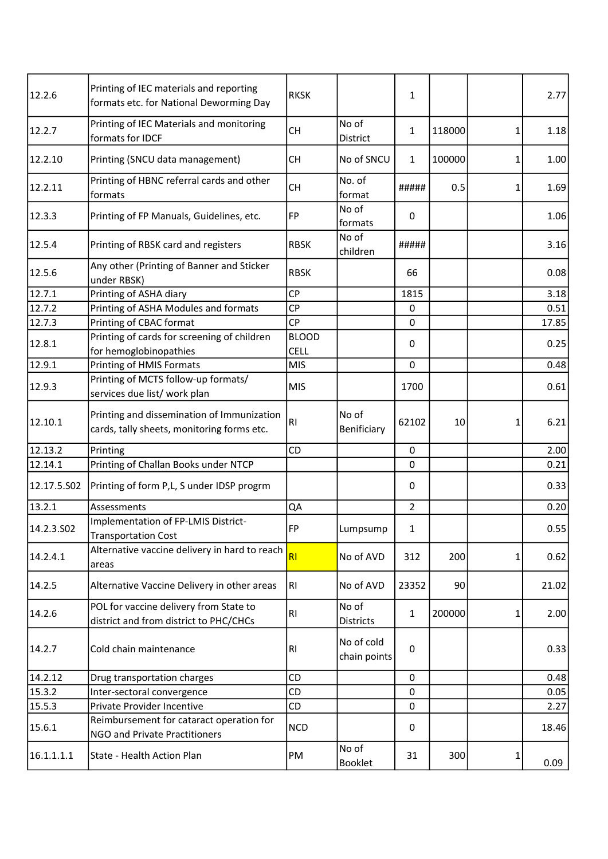| 12.2.6      | Printing of IEC materials and reporting<br>formats etc. for National Deworming Day       | <b>RKSK</b>    |                            | 1              |        |   | 2.77  |
|-------------|------------------------------------------------------------------------------------------|----------------|----------------------------|----------------|--------|---|-------|
| 12.2.7      | Printing of IEC Materials and monitoring<br>formats for IDCF                             | <b>CH</b>      | No of<br>District          | 1              | 118000 | 1 | 1.18  |
| 12.2.10     | Printing (SNCU data management)                                                          | <b>CH</b>      | No of SNCU                 | 1              | 100000 | 1 | 1.00  |
| 12.2.11     | Printing of HBNC referral cards and other<br>formats                                     | <b>CH</b>      | No. of<br>format           | #####          | 0.5    | 1 | 1.69  |
| 12.3.3      | Printing of FP Manuals, Guidelines, etc.                                                 | <b>FP</b>      | No of<br>formats           | 0              |        |   | 1.06  |
| 12.5.4      | Printing of RBSK card and registers                                                      | <b>RBSK</b>    | No of<br>children          | #####          |        |   | 3.16  |
| 12.5.6      | Any other (Printing of Banner and Sticker<br>under RBSK)                                 | <b>RBSK</b>    |                            | 66             |        |   | 0.08  |
| 12.7.1      | Printing of ASHA diary                                                                   | CP             |                            | 1815           |        |   | 3.18  |
| 12.7.2      | Printing of ASHA Modules and formats                                                     | CP             |                            | 0              |        |   | 0.51  |
| 12.7.3      | Printing of CBAC format                                                                  | <b>CP</b>      |                            | 0              |        |   | 17.85 |
|             | Printing of cards for screening of children                                              | <b>BLOOD</b>   |                            |                |        |   |       |
| 12.8.1      | for hemoglobinopathies                                                                   | <b>CELL</b>    |                            | 0              |        |   | 0.25  |
| 12.9.1      | Printing of HMIS Formats                                                                 | <b>MIS</b>     |                            | 0              |        |   | 0.48  |
|             | Printing of MCTS follow-up formats/                                                      |                |                            |                |        |   |       |
| 12.9.3      | services due list/ work plan                                                             | <b>MIS</b>     |                            | 1700           |        |   | 0.61  |
| 12.10.1     | Printing and dissemination of Immunization<br>cards, tally sheets, monitoring forms etc. | R <sub>l</sub> | No of<br>Benificiary       | 62102          | 10     | 1 | 6.21  |
| 12.13.2     | Printing                                                                                 | CD             |                            | $\mathbf 0$    |        |   | 2.00  |
| 12.14.1     | Printing of Challan Books under NTCP                                                     |                |                            | 0              |        |   | 0.21  |
| 12.17.5.502 | Printing of form P,L, S under IDSP progrm                                                |                |                            | 0              |        |   | 0.33  |
| 13.2.1      | Assessments                                                                              | QA             |                            | $\overline{2}$ |        |   | 0.20  |
| 14.2.3.502  | Implementation of FP-LMIS District-<br><b>Transportation Cost</b>                        | FP             | Lumpsump                   | 1              |        |   | 0.55  |
| 14.2.4.1    | Alternative vaccine delivery in hard to reach<br>areas                                   | RI             | No of AVD                  | 312            | 200    | 1 | 0.62  |
| 14.2.5      | Alternative Vaccine Delivery in other areas                                              | RI             | No of AVD                  | 23352          | 90     |   | 21.02 |
| 14.2.6      | POL for vaccine delivery from State to<br>district and from district to PHC/CHCs         | R <sub>1</sub> | No of<br><b>Districts</b>  | 1              | 200000 | 1 | 2.00  |
| 14.2.7      | Cold chain maintenance                                                                   | R <sub>l</sub> | No of cold<br>chain points | 0              |        |   | 0.33  |
| 14.2.12     | Drug transportation charges                                                              | CD             |                            | 0              |        |   | 0.48  |
| 15.3.2      | Inter-sectoral convergence                                                               | CD             |                            | 0              |        |   | 0.05  |
| 15.5.3      | Private Provider Incentive                                                               | CD             |                            | 0              |        |   | 2.27  |
| 15.6.1      | Reimbursement for cataract operation for<br><b>NGO and Private Practitioners</b>         | <b>NCD</b>     |                            | 0              |        |   | 18.46 |
| 16.1.1.1.1  | State - Health Action Plan                                                               | PM             | No of<br>Booklet           | 31             | 300    | 1 | 0.09  |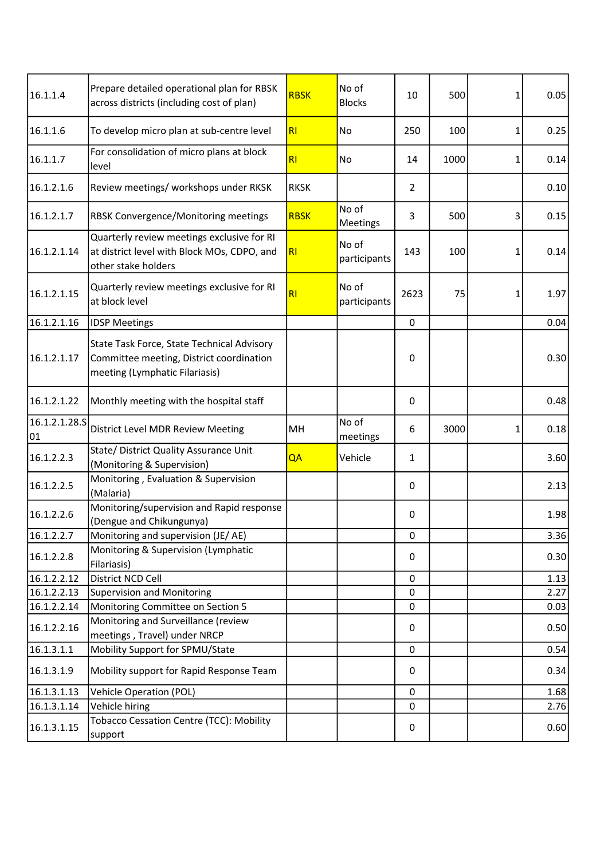| 16.1.1.4            | Prepare detailed operational plan for RBSK<br>across districts (including cost of plan)                                  | <b>RBSK</b>    | No of<br><b>Blocks</b> | 10             | 500  | 1 | 0.05 |
|---------------------|--------------------------------------------------------------------------------------------------------------------------|----------------|------------------------|----------------|------|---|------|
| 16.1.1.6            | To develop micro plan at sub-centre level                                                                                | RI             | No                     | 250            | 100  | 1 | 0.25 |
| 16.1.1.7            | For consolidation of micro plans at block<br>level                                                                       | RI             | No                     | 14             | 1000 | 1 | 0.14 |
| 16.1.2.1.6          | Review meetings/ workshops under RKSK                                                                                    | <b>RKSK</b>    |                        | $\overline{2}$ |      |   | 0.10 |
| 16.1.2.1.7          | RBSK Convergence/Monitoring meetings                                                                                     | <b>RBSK</b>    | No of<br>Meetings      | 3              | 500  | 3 | 0.15 |
| 16.1.2.1.14         | Quarterly review meetings exclusive for RI<br>at district level with Block MOs, CDPO, and<br>other stake holders         | R <sub>l</sub> | No of<br>participants  | 143            | 100  | 1 | 0.14 |
| 16.1.2.1.15         | Quarterly review meetings exclusive for RI<br>at block level                                                             | R <sub>l</sub> | No of<br>participants  | 2623           | 75   | 1 | 1.97 |
| 16.1.2.1.16         | <b>IDSP Meetings</b>                                                                                                     |                |                        | $\mathbf 0$    |      |   | 0.04 |
| 16.1.2.1.17         | State Task Force, State Technical Advisory<br>Committee meeting, District coordination<br>meeting (Lymphatic Filariasis) |                |                        | $\mathbf 0$    |      |   | 0.30 |
| 16.1.2.1.22         | Monthly meeting with the hospital staff                                                                                  |                |                        | 0              |      |   | 0.48 |
| 16.1.2.1.28.5<br>01 | District Level MDR Review Meeting                                                                                        | MH             | No of<br>meetings      | 6              | 3000 | 1 | 0.18 |
| 16.1.2.2.3          | State/ District Quality Assurance Unit<br>(Monitoring & Supervision)                                                     | QA             | Vehicle                | $\mathbf{1}$   |      |   | 3.60 |
| 16.1.2.2.5          | Monitoring, Evaluation & Supervision<br>(Malaria)                                                                        |                |                        | 0              |      |   | 2.13 |
| 16.1.2.2.6          | Monitoring/supervision and Rapid response<br>(Dengue and Chikungunya)                                                    |                |                        | 0              |      |   | 1.98 |
| 16.1.2.2.7          | Monitoring and supervision (JE/AE)                                                                                       |                |                        | $\mathbf 0$    |      |   | 3.36 |
| 16.1.2.2.8          | Monitoring & Supervision (Lymphatic<br>Filariasis)                                                                       |                |                        | 0              |      |   | 0.30 |
| 16.1.2.2.12         | District NCD Cell                                                                                                        |                |                        | $\mathbf 0$    |      |   | 1.13 |
| 16.1.2.2.13         | <b>Supervision and Monitoring</b>                                                                                        |                |                        | $\Omega$       |      |   | 2.27 |
| 16.1.2.2.14         | Monitoring Committee on Section 5                                                                                        |                |                        | 0              |      |   | 0.03 |
| 16.1.2.2.16         | Monitoring and Surveillance (review<br>meetings, Travel) under NRCP                                                      |                |                        | 0              |      |   | 0.50 |
| 16.1.3.1.1          | Mobility Support for SPMU/State                                                                                          |                |                        | $\mathbf 0$    |      |   | 0.54 |
| 16.1.3.1.9          | Mobility support for Rapid Response Team                                                                                 |                |                        | 0              |      |   | 0.34 |
| 16.1.3.1.13         | <b>Vehicle Operation (POL)</b>                                                                                           |                |                        | $\mathbf 0$    |      |   | 1.68 |
| 16.1.3.1.14         | Vehicle hiring                                                                                                           |                |                        | 0              |      |   | 2.76 |
| 16.1.3.1.15         | <b>Tobacco Cessation Centre (TCC): Mobility</b><br>support                                                               |                |                        | 0              |      |   | 0.60 |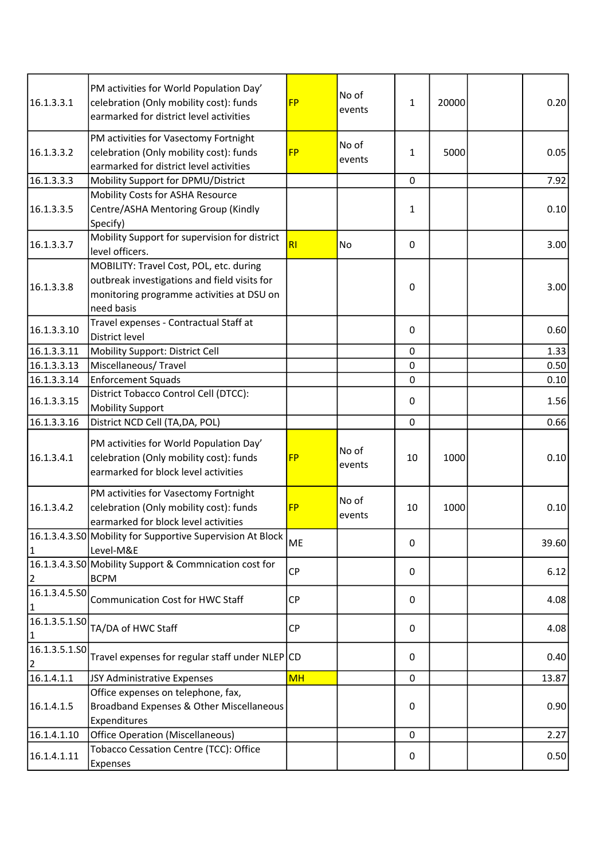| 16.1.3.3.1                      | PM activities for World Population Day'<br>celebration (Only mobility cost): funds<br>earmarked for district level activities                      | <b>FP</b>      | No of<br>events | 1            | 20000 | 0.20  |
|---------------------------------|----------------------------------------------------------------------------------------------------------------------------------------------------|----------------|-----------------|--------------|-------|-------|
| 16.1.3.3.2                      | PM activities for Vasectomy Fortnight<br>celebration (Only mobility cost): funds<br>earmarked for district level activities                        | <b>FP</b>      | No of<br>events | $\mathbf{1}$ | 5000  | 0.05  |
| 16.1.3.3.3                      | Mobility Support for DPMU/District                                                                                                                 |                |                 | 0            |       | 7.92  |
| 16.1.3.3.5                      | Mobility Costs for ASHA Resource<br>Centre/ASHA Mentoring Group (Kindly<br>Specify)                                                                |                |                 | 1            |       | 0.10  |
| 16.1.3.3.7                      | Mobility Support for supervision for district<br>level officers.                                                                                   | R <sub>l</sub> | No              | 0            |       | 3.00  |
| 16.1.3.3.8                      | MOBILITY: Travel Cost, POL, etc. during<br>outbreak investigations and field visits for<br>monitoring programme activities at DSU on<br>need basis |                |                 | 0            |       | 3.00  |
| 16.1.3.3.10                     | Travel expenses - Contractual Staff at<br>District level                                                                                           |                |                 | $\Omega$     |       | 0.60  |
| 16.1.3.3.11                     | Mobility Support: District Cell                                                                                                                    |                |                 | 0            |       | 1.33  |
| 16.1.3.3.13                     | Miscellaneous/Travel                                                                                                                               |                |                 | $\mathbf 0$  |       | 0.50  |
| 16.1.3.3.14                     | <b>Enforcement Squads</b>                                                                                                                          |                |                 | 0            |       | 0.10  |
| 16.1.3.3.15                     | District Tobacco Control Cell (DTCC):<br><b>Mobility Support</b>                                                                                   |                |                 | 0            |       | 1.56  |
| 16.1.3.3.16                     | District NCD Cell (TA, DA, POL)                                                                                                                    |                |                 | 0            |       | 0.66  |
| 16.1.3.4.1                      | PM activities for World Population Day'<br>celebration (Only mobility cost): funds<br>earmarked for block level activities                         | <b>FP</b>      | No of<br>events | 10           | 1000  | 0.10  |
| 16.1.3.4.2                      | PM activities for Vasectomy Fortnight<br>celebration (Only mobility cost): funds<br>earmarked for block level activities                           | <b>FP</b>      | No of<br>events | 10           | 1000  | 0.10  |
| 1                               | 16.1.3.4.3.50 Mobility for Supportive Supervision At Block<br>Level-M&E                                                                            | <b>ME</b>      |                 | 0            |       | 39.60 |
| 2                               | 16.1.3.4.3.50 Mobility Support & Commnication cost for<br><b>BCPM</b>                                                                              | <b>CP</b>      |                 | 0            |       | 6.12  |
| 16.1.3.4.5.50<br>1              | <b>Communication Cost for HWC Staff</b>                                                                                                            | <b>CP</b>      |                 | 0            |       | 4.08  |
| 16.1.3.5.1.SO<br>$\vert$ 1      | TA/DA of HWC Staff                                                                                                                                 | <b>CP</b>      |                 | 0            |       | 4.08  |
| 16.1.3.5.1.50<br>$\overline{2}$ | Travel expenses for regular staff under NLEP CD                                                                                                    |                |                 | 0            |       | 0.40  |
| 16.1.4.1.1                      | JSY Administrative Expenses                                                                                                                        | <b>MH</b>      |                 | 0            |       | 13.87 |
| 16.1.4.1.5                      | Office expenses on telephone, fax,<br>Broadband Expenses & Other Miscellaneous<br>Expenditures                                                     |                |                 | 0            |       | 0.90  |
| 16.1.4.1.10                     | <b>Office Operation (Miscellaneous)</b>                                                                                                            |                |                 | 0            |       | 2.27  |
| 16.1.4.1.11                     | Tobacco Cessation Centre (TCC): Office<br>Expenses                                                                                                 |                |                 | 0            |       | 0.50  |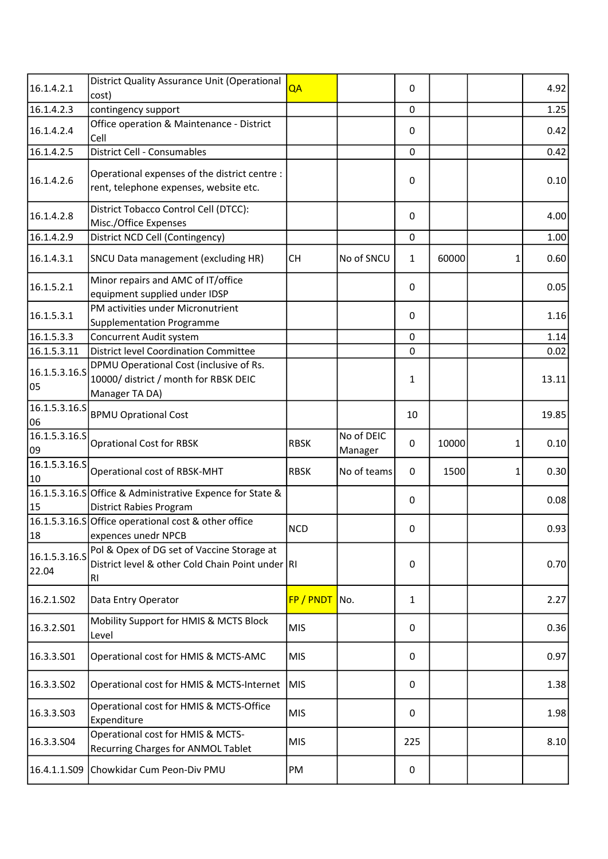| 16.1.4.2.1             | District Quality Assurance Unit (Operational<br>cost)                                                | QA          |                       | 0            |       |   | 4.92  |
|------------------------|------------------------------------------------------------------------------------------------------|-------------|-----------------------|--------------|-------|---|-------|
| 16.1.4.2.3             | contingency support                                                                                  |             |                       | 0            |       |   | 1.25  |
| 16.1.4.2.4             | Office operation & Maintenance - District<br>Cell                                                    |             |                       | 0            |       |   | 0.42  |
| 16.1.4.2.5             | District Cell - Consumables                                                                          |             |                       | $\Omega$     |       |   | 0.42  |
| 16.1.4.2.6             | Operational expenses of the district centre :<br>rent, telephone expenses, website etc.              |             |                       | 0            |       |   | 0.10  |
| 16.1.4.2.8             | District Tobacco Control Cell (DTCC):<br>Misc./Office Expenses                                       |             |                       | $\mathbf{0}$ |       |   | 4.00  |
| 16.1.4.2.9             | District NCD Cell (Contingency)                                                                      |             |                       | 0            |       |   | 1.00  |
| 16.1.4.3.1             | SNCU Data management (excluding HR)                                                                  | <b>CH</b>   | No of SNCU            | 1            | 60000 | 1 | 0.60  |
| 16.1.5.2.1             | Minor repairs and AMC of IT/office<br>equipment supplied under IDSP                                  |             |                       | $\Omega$     |       |   | 0.05  |
| 16.1.5.3.1             | PM activities under Micronutrient<br><b>Supplementation Programme</b>                                |             |                       | $\Omega$     |       |   | 1.16  |
| 16.1.5.3.3             | Concurrent Audit system                                                                              |             |                       | 0            |       |   | 1.14  |
| 16.1.5.3.11            | <b>District level Coordination Committee</b>                                                         |             |                       | 0            |       |   | 0.02  |
| 16.1.5.3.16.S<br>05    | DPMU Operational Cost (inclusive of Rs.<br>10000/ district / month for RBSK DEIC<br>Manager TA DA)   |             |                       | 1            |       |   | 13.11 |
| 16.1.5.3.16.5<br>06    | <b>BPMU Oprational Cost</b>                                                                          |             |                       | 10           |       |   | 19.85 |
| 16.1.5.3.16.S<br>09    | <b>Oprational Cost for RBSK</b>                                                                      | <b>RBSK</b> | No of DEIC<br>Manager | 0            | 10000 | 1 | 0.10  |
| 16.1.5.3.16.5<br>10    | Operational cost of RBSK-MHT                                                                         | <b>RBSK</b> | No of teams           | $\Omega$     | 1500  | 1 | 0.30  |
| 15                     | 16.1.5.3.16.S Office & Administrative Expence for State &<br><b>District Rabies Program</b>          |             |                       | $\mathbf{0}$ |       |   | 0.08  |
| 18                     | 16.1.5.3.16.S Office operational cost & other office<br>expences unedr NPCB                          | <b>NCD</b>  |                       | 0            |       |   | 0.931 |
| 16.1.5.3.16.S<br>22.04 | Pol & Opex of DG set of Vaccine Storage at<br>District level & other Cold Chain Point under RI<br>RI |             |                       | $\mathbf{0}$ |       |   | 0.70  |
| 16.2.1.502             | Data Entry Operator                                                                                  | FP / PNDT   | No.                   | 1            |       |   | 2.27  |
| 16.3.2.501             | Mobility Support for HMIS & MCTS Block<br>Level                                                      | <b>MIS</b>  |                       | 0            |       |   | 0.36  |
| 16.3.3.501             | Operational cost for HMIS & MCTS-AMC                                                                 | <b>MIS</b>  |                       | 0            |       |   | 0.97  |
| 16.3.3.502             | Operational cost for HMIS & MCTS-Internet                                                            | <b>MIS</b>  |                       | 0            |       |   | 1.38  |
| 16.3.3.503             | Operational cost for HMIS & MCTS-Office<br>Expenditure                                               | <b>MIS</b>  |                       | 0            |       |   | 1.98  |
| 16.3.3.504             | Operational cost for HMIS & MCTS-<br>Recurring Charges for ANMOL Tablet                              | <b>MIS</b>  |                       | 225          |       |   | 8.10  |
| 16.4.1.1.S09           | Chowkidar Cum Peon-Div PMU                                                                           | PM          |                       | 0            |       |   |       |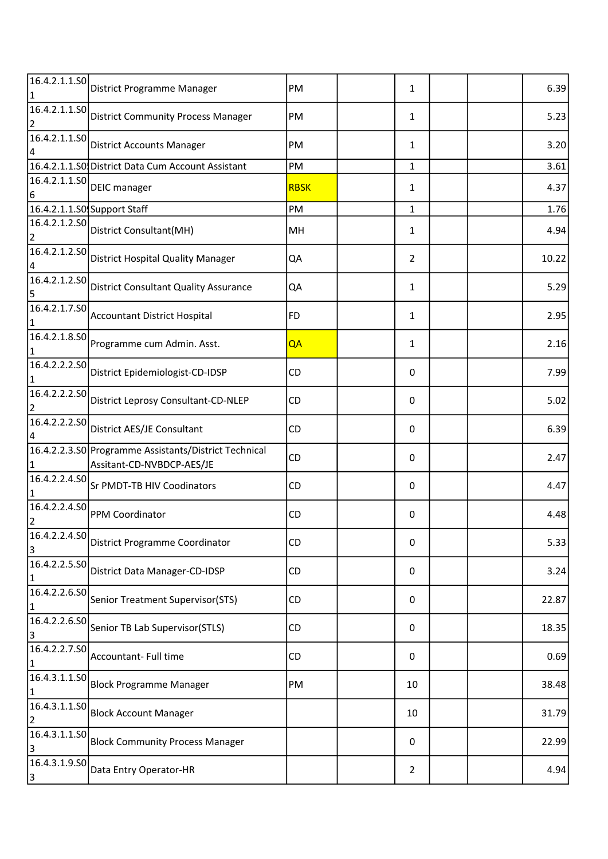| 16.4.2.1.1.SO                   | District Programme Manager                                                         | PM          | $\mathbf{1}$   |  | 6.39  |
|---------------------------------|------------------------------------------------------------------------------------|-------------|----------------|--|-------|
| 16.4.2.1.1.SO                   | District Community Process Manager                                                 | PM          | $\mathbf{1}$   |  | 5.23  |
| 16.4.2.1.1.50<br>4              | <b>District Accounts Manager</b>                                                   | PM          | $\mathbf{1}$   |  | 3.20  |
|                                 | 16.4.2.1.1.50 District Data Cum Account Assistant                                  | PM          | $\mathbf{1}$   |  | 3.61  |
| 16.4.2.1.1.50<br>6              | <b>DEIC</b> manager                                                                | <b>RBSK</b> | $\mathbf{1}$   |  | 4.37  |
|                                 | 16.4.2.1.1.SO Support Staff                                                        | PM          | $\mathbf{1}$   |  | 1.76  |
| 16.4.2.1.2.50<br>$\overline{2}$ | District Consultant(MH)                                                            | MH          | $\mathbf{1}$   |  | 4.94  |
| 16.4.2.1.2.50                   | <b>District Hospital Quality Manager</b>                                           | QA          | $\overline{2}$ |  | 10.22 |
| 16.4.2.1.2.50<br>5              | <b>District Consultant Quality Assurance</b>                                       | QA          | $\mathbf{1}$   |  | 5.29  |
| 16.4.2.1.7.S0                   | Accountant District Hospital                                                       | <b>FD</b>   | $\mathbf{1}$   |  | 2.95  |
| 16.4.2.1.8.SO                   | Programme cum Admin. Asst.                                                         | QA          | $\mathbf{1}$   |  | 2.16  |
| 16.4.2.2.2.50                   | District Epidemiologist-CD-IDSP                                                    | <b>CD</b>   | 0              |  | 7.99  |
| 16.4.2.2.2.50                   | District Leprosy Consultant-CD-NLEP                                                | CD          | 0              |  | 5.02  |
| 16.4.2.2.2.50                   | District AES/JE Consultant                                                         | CD          | 0              |  | 6.39  |
|                                 | 16.4.2.2.3.S0 Programme Assistants/District Technical<br>Assitant-CD-NVBDCP-AES/JE | <b>CD</b>   | 0              |  | 2.47  |
| 16.4.2.2.4.SO                   | Sr PMDT-TB HIV Coodinators                                                         | CD          | 0              |  | 4.47  |
| 16.4.2.2.4.50<br>2              | <b>PPM Coordinator</b>                                                             | <b>CD</b>   | 0              |  | 4.48  |
| 16.4.2.2.4.50<br>3              | <b>District Programme Coordinator</b>                                              | CD          | 0              |  | 5.33  |
| 16.4.2.2.5.50                   | District Data Manager-CD-IDSP                                                      | CD          | 0              |  | 3.24  |
| 16.4.2.2.6.50<br>1              | Senior Treatment Supervisor(STS)                                                   | CD          | 0              |  | 22.87 |
| 16.4.2.2.6.S0<br>3              | Senior TB Lab Supervisor(STLS)                                                     | CD          | 0              |  | 18.35 |
| 16.4.2.2.7.50                   | Accountant- Full time                                                              | CD          | 0              |  | 0.69  |
| 16.4.3.1.1.SO                   | <b>Block Programme Manager</b>                                                     | PM          | 10             |  | 38.48 |
| 16.4.3.1.1.50<br>$\overline{2}$ | <b>Block Account Manager</b>                                                       |             | 10             |  | 31.79 |
| 16.4.3.1.1.50<br>3              | <b>Block Community Process Manager</b>                                             |             | 0              |  | 22.99 |
| 16.4.3.1.9.50<br>3              | Data Entry Operator-HR                                                             |             | $\overline{2}$ |  | 4.94  |